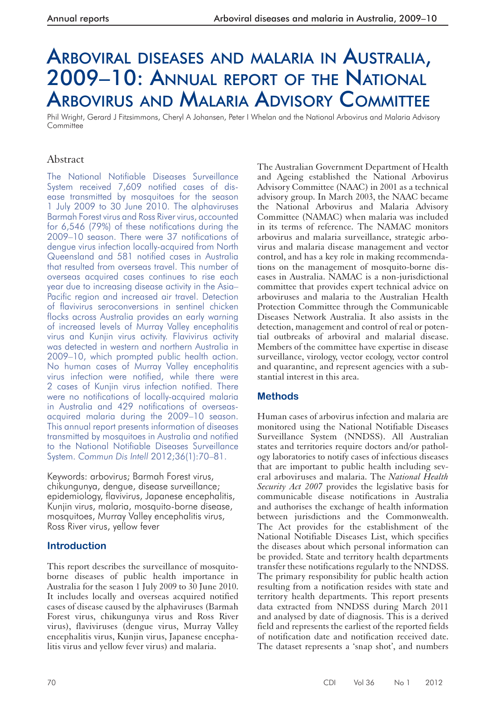# ARBOVIRAL DISEASES AND MALARIA IN AUSTRALIA, 2009–10: ANNUAL REPORT OF THE NATIONAL ARBOVIRUS AND MALARIA ADVISORY COMMITTEE

Phil Wright, Gerard J Fitzsimmons, Cheryl A Johansen, Peter I Whelan and the National Arbovirus and Malaria Advisory **Committee** 

# Abstract

The National Notifiable Diseases Surveillance System received 7,609 notified cases of disease transmitted by mosquitoes for the season 1 July 2009 to 30 June 2010. The alphaviruses Barmah Forest virus and Ross River virus, accounted for 6,546 (79%) of these notifications during the 2009–10 season. There were 37 notifications of dengue virus infection locally-acquired from North Queensland and 581 notified cases in Australia that resulted from overseas travel. This number of overseas acquired cases continues to rise each year due to increasing disease activity in the Asia– Pacific region and increased air travel. Detection of flavivirus seroconversions in sentinel chicken flocks across Australia provides an early warning of increased levels of Murray Valley encephalitis virus and Kunjin virus activity. Flavivirus activity was detected in western and northern Australia in 2009–10, which prompted public health action. No human cases of Murray Valley encephalitis virus infection were notified, while there were 2 cases of Kunjin virus infection notified. There were no notifications of locally-acquired malaria in Australia and 429 notifications of overseasacquired malaria during the 2009–10 season. This annual report presents information of diseases transmitted by mosquitoes in Australia and notified to the National Notifiable Diseases Surveillance System. *Commun Dis Intell* 2012;36(1):70–81.

Keywords: arbovirus; Barmah Forest virus, chikungunya, dengue, disease surveillance; epidemiology, flavivirus, Japanese encephalitis, Kunjin virus, malaria, mosquito-borne disease, mosquitoes, Murray Valley encephalitis virus, Ross River virus, yellow fever

# **Introduction**

 This report describes the surveillance of mosquitoborne diseases of public health importance in Australia for the season 1 July 2009 to 30 June 2010. It includes locally and overseas acquired notified cases of disease caused by the alphaviruses (Barmah Forest virus, chikungunya virus and Ross River virus), flaviviruses (dengue virus, Murray Valley encephalitis virus, Kunjin virus, Japanese encephalitis virus and yellow fever virus) and malaria.

 The Australian Government Department of Health and Ageing established the National Arbovirus Advisory Committee (NAAC) in 2001 as a technical advisory group. In March 2003, the NAAC became the National Arbovirus and Malaria Advisory Committee (NAMAC) when malaria was included in its terms of reference. The NAMAC monitors arbovirus and malaria surveillance, strategic arbovirus and malaria disease management and vector control, and has a key role in making recommendations on the management of mosquito-borne diseases in Australia. NAMAC is a non-jurisdictional committee that provides expert technical advice on arboviruses and malaria to the Australian Health Protection Committee through the Communicable Diseases Network Australia. It also assists in the detection, management and control of real or potential outbreaks of arboviral and malarial disease. Members of the committee have expertise in disease surveillance, virology, vector ecology, vector control and quarantine, and represent agencies with a substantial interest in this area.

# **Methods**

 Human cases of arbovirus infection and malaria are monitored using the National Notifiable Diseases Surveillance System (NNDSS). All Australian states and territories require doctors and/or pathology laboratories to notify cases of infectious diseases that are important to public health including several arboviruses and malaria. The *National Health Security Act 2007* provides the legislative basis for communicable disease notifications in Australia and authorises the exchange of health information between jurisdictions and the Commonwealth. The Act provides for the establishment of the National Notifiable Diseases List, which specifies the diseases about which personal information can be provided. State and territory health departments transfer these notifications regularly to the NNDSS. The primary responsibility for public health action resulting from a notification resides with state and territory health departments. This report presents data extracted from NNDSS during March 2011 and analysed by date of diagnosis. This is a derived field and represents the earliest of the reported fields of notification date and notification received date. The dataset represents a 'snap shot', and numbers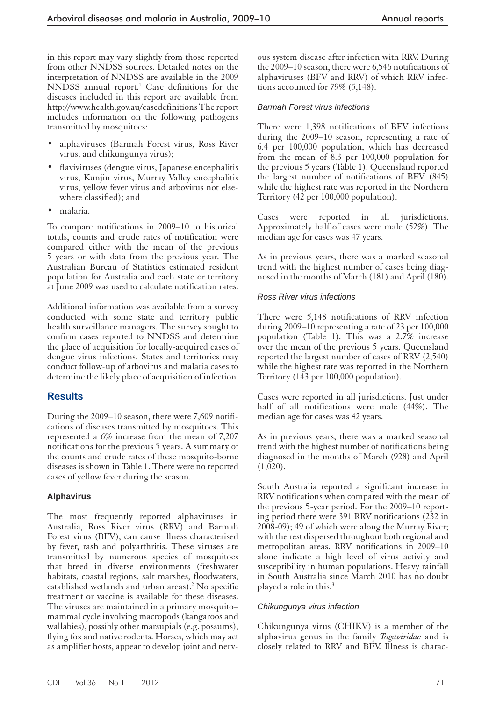in this report may vary slightly from those reported from other NNDSS sources. Detailed notes on the interpretation of NNDSS are available in the 2009 NNDSS annual report.<sup>1</sup> Case definitions for the diseases included in this report are available from http://www.health.gov.au/casedefinitions The report includes information on the following pathogens transmitted by mosquitoes:

- alphaviruses (Barmah Forest virus, Ross River virus, and chikungunya virus);
- flaviviruses (dengue virus, Japanese encephalitis virus, Kunjin virus, Murray Valley encephalitis virus, yellow fever virus and arbovirus not elsewhere classified); and
- malaria.

 To compare notifications in 2009–10 to historical totals, counts and crude rates of notification were compared either with the mean of the previous 5 years or with data from the previous year. The Australian Bureau of Statistics estimated resident population for Australia and each state or territory at June 2009 was used to calculate notification rates.

 Additional information was available from a survey conducted with some state and territory public health surveillance managers. The survey sought to confirm cases reported to NNDSS and determine the place of acquisition for locally-acquired cases of dengue virus infections. States and territories may conduct follow-up of arbovirus and malaria cases to determine the likely place of acquisition of infection.

# **Results**

 During the 2009–10 season, there were 7,609 notifications of diseases transmitted by mosquitoes. This represented a 6% increase from the mean of 7,207 notifications for the previous 5 years. A summary of the counts and crude rates of these mosquito-borne diseases is shown in Table 1. There were no reported cases of yellow fever during the season.

#### **Alphavirus**

 The most frequently reported alphaviruses in Australia, Ross River virus (RRV) and Barmah Forest virus (BFV), can cause illness characterised by fever, rash and polyarthritis. These viruses are transmitted by numerous species of mosquitoes that breed in diverse environments (freshwater habitats, coastal regions, salt marshes, floodwaters, established wetlands and urban areas).<sup>2</sup> No specific treatment or vaccine is available for these diseases. The viruses are maintained in a primary mosquito– mammal cycle involving macropods (kangaroos and wallabies), possibly other marsupials (e.g. possums), flying fox and native rodents. Horses, which may act as amplifier hosts, appear to develop joint and nervous system disease after infection with RRV. During the 2009–10 season, there were 6,546 notifications of alphaviruses (BFV and RRV) of which RRV infections accounted for 79% (5,148).

#### *Barmah Forest virus infections*

 There were 1,398 notifications of BFV infections during the 2009–10 season, representing a rate of 6.4 per 100,000 population, which has decreased from the mean of 8.3 per 100,000 population for the previous 5 years (Table 1). Queensland reported the largest number of notifications of BFV (845) while the highest rate was reported in the Northern Territory (42 per 100,000 population).

 Cases were reported in all jurisdictions. Approximately half of cases were male (52%). The median age for cases was 47 years.

 As in previous years, there was a marked seasonal trend with the highest number of cases being diagnosed in the months of March (181) and April (180).

#### *Ross River virus infections*

 There were 5,148 notifications of RRV infection during 2009–10 representing a rate of 23 per 100,000 population (Table 1). This was a 2.7% increase over the mean of the previous 5 years. Queensland reported the largest number of cases of RRV (2,540) while the highest rate was reported in the Northern Territory (143 per 100,000 population).

Cases were reported in all jurisdictions. Just under half of all notifications were male (44%). The median age for cases was 42 years.

 As in previous years, there was a marked seasonal trend with the highest number of notifications being diagnosed in the months of March (928) and April  $(1,020)$ .

 South Australia reported a significant increase in RRV notifications when compared with the mean of the previous 5-year period. For the 2009–10 reporting period there were 391 RRV notifications (232 in 2008-09); 49 of which were along the Murray River; with the rest dispersed throughout both regional and metropolitan areas. RRV notifications in 2009–10 alone indicate a high level of virus activity and susceptibility in human populations. Heavy rainfall in South Australia since March 2010 has no doubt played a role in this.<sup>3</sup>

#### *Chikungunya virus infection*

Chikungunya virus (CHIKV) is a member of the alphavirus genus in the family *Togaviridae* and is closely related to RRV and BFV. Illness is charac-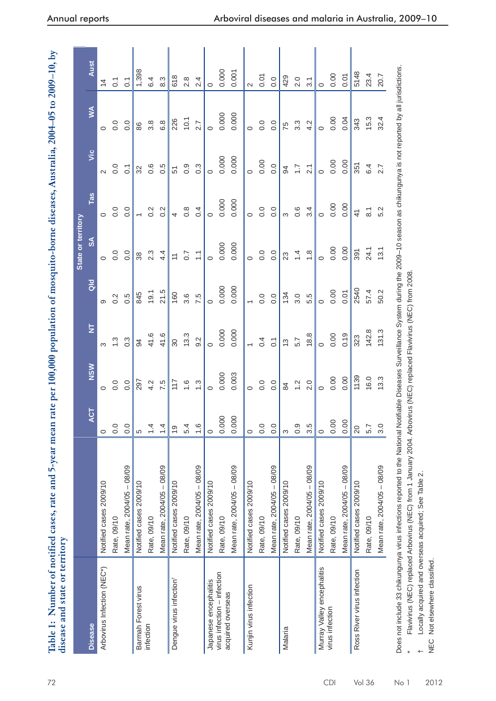| $2004 - 05$ to $2009 - 10$ .                          |                              |
|-------------------------------------------------------|------------------------------|
| $\frac{1}{2}$                                         |                              |
| م<br>م                                                |                              |
|                                                       |                              |
|                                                       |                              |
|                                                       |                              |
| t mosquito-borne diseases, An                         |                              |
|                                                       |                              |
| $\blacksquare$ nomination of                          |                              |
|                                                       |                              |
|                                                       |                              |
| an nate ber like<br>ו ומנט מ                          |                              |
| į                                                     |                              |
|                                                       |                              |
|                                                       |                              |
|                                                       |                              |
|                                                       |                              |
|                                                       |                              |
|                                                       | sease and state or territory |
| able 1: Number of notified cases, rate and 5-year mea |                              |

|                                                  |                                                                                                                                                                                                  |                |               |                          |                          | State or territory |                          |                  |                  |                  |
|--------------------------------------------------|--------------------------------------------------------------------------------------------------------------------------------------------------------------------------------------------------|----------------|---------------|--------------------------|--------------------------|--------------------|--------------------------|------------------|------------------|------------------|
| <b>Disease</b>                                   |                                                                                                                                                                                                  | ACT            | <b>NSW</b>    | $\overline{\mathsf{z}}$  | $\frac{d}{d}$            | $\frac{1}{2}$      | Tas                      | yic              | $\leq$           | Aust             |
| Arbovirus Infection (NEC*)                       | Notified cases 2009/10                                                                                                                                                                           | $\circ$        | $\circ$       | ო                        | ၜ                        | $\circ$            | $\circ$                  | $\sim$           | $\circ$          | $\overline{4}$   |
|                                                  | Rate, 09/10                                                                                                                                                                                      | 0.0            | 0.0           | $\ddot{.}3$              | 0.2                      | 0.0                | 0.0                      | 0.0              | 0.0              | $\overline{C}$   |
|                                                  | Mean rate, 2004/05 - 08/09                                                                                                                                                                       | 0.0            | 0.0           | $0.\overline{3}$         | 0.5                      | 0.0                | 0.0                      | $\overline{C}$   | 0.0              | $\overline{C}$   |
| Barmah Forest virus                              | Notified cases 2009/10                                                                                                                                                                           | 5              | 297           | 34                       | 845                      | 38                 | $\overline{\phantom{0}}$ | 32               | 86               | 1,398            |
| infection                                        | Rate, 09/10                                                                                                                                                                                      | 1.4            | 4.2           | 41.6                     | 19.1                     | 2.3                | 0.2                      | 0.6              | $3.\overline{8}$ | 6.4              |
|                                                  | Mean rate, 2004/05 - 08/09                                                                                                                                                                       | 1.4            | 7.5           | 41.6                     | 21.5                     | 4.4                | $0.\overline{2}$         | 0.5              | 6.8              | 8.3              |
| Dengue virus infection <sup>t</sup>              | Notified cases 2009/10                                                                                                                                                                           | $\overline{0}$ | 117           | $\infty$                 | 160                      | $\overline{a}$     | 4                        | 51               | 226              | 618              |
|                                                  | Rate, 09/10                                                                                                                                                                                      | 5.4            | $\frac{6}{1}$ | က<br>13.                 | 3.6                      | $\overline{0.7}$   | 0.8                      | $\overline{0}$ . | 10.1             | 2.8              |
|                                                  | Mean rate, 2004/05 - 08/09                                                                                                                                                                       | 1.6            | ς.            | 9.2                      | 7.5                      | $\frac{1}{2}$      | 0.4                      | $0.\overline{3}$ | 2.7              | 2.4              |
| Japanese encephalitis                            | Notified cases 2009/10                                                                                                                                                                           | $\circ$        | $\circ$       | $\circ$                  | $\circ$                  | $\circ$            | $\circ$                  | $\circ$          | $\circ$          | $\circ$          |
| virus infection - infection<br>acquired overseas | Rate, 09/10                                                                                                                                                                                      | 0.000          | 0.000         | 0.000                    | 0.000                    | 0.000              | 0.000                    | 0.000            | 0.000            | 0.000            |
|                                                  | Mean rate, 2004/05 - 08/09                                                                                                                                                                       | 0.000          | 0.003         | 0.000                    | 0.000                    | 0.000              | 0.000                    | 0.000            | 0.000            | 0.001            |
| Kunjin virus infection                           | Notified cases 2009/10                                                                                                                                                                           | $\circ$        | $\circ$       | $\overline{\phantom{0}}$ | $\overline{\phantom{0}}$ | $\circ$            | $\circ$                  | $\circ$          | $\circ$          | $\sim$           |
|                                                  | Rate, 09/10                                                                                                                                                                                      | 0.0            | 0.0           | 0.4                      | 0.0                      | 0.0                | 0.0                      | 0.00             | 0.0              | 0.07             |
|                                                  | Mean rate, 2004/05 - 08/09                                                                                                                                                                       | 0.0            | 0.0           | $\overline{C}$           | 0.0                      | $\overline{0}$ .   | 0.0                      | 0.0              | $\overline{0}$ . | 0.0              |
| Malaria                                          | Notified cases 2009/10                                                                                                                                                                           | S              | 84            | 13                       | 134                      | 23                 | S                        | 94               | 75               | 429              |
|                                                  | Rate, 09/10                                                                                                                                                                                      | 0.9            | $\frac{2}{3}$ | 5.7                      | 3.0                      | $\overline{4}$     | 0.6                      | $\ddot{ }$ :7    | $3.\overline{3}$ | 2.0              |
|                                                  | Mean rate, 2004/05 - 08/09                                                                                                                                                                       | 3.5            | 2.0           | 18.8                     | 5.5                      | $\frac{8}{1}$      | 3.4                      | 2.1              | 4.2              | $\overline{3}$ . |
| Murray Valley encephalitis                       | Notified cases 2009/10                                                                                                                                                                           | $\circ$        | $\circ$       | $\circ$                  | $\circ$                  | $\circ$            | $\circ$                  | $\circ$          | $\circ$          | $\circ$          |
| virus infection                                  | Rate, 09/10                                                                                                                                                                                      | 0.00           | 0.00          | 0.00                     | 0.00                     | 0.00               | 0.00                     | 0.00             | 0.00             | 0.00             |
|                                                  | Mean rate, 2004/05 - 08/09                                                                                                                                                                       | 0.00           | 0.00          | 0.19                     | 0.01                     | 0.00               | 0.00                     | 0.00             | 0.04             | 0.01             |
| Ross River virus infection                       | Notified cases 2009/10                                                                                                                                                                           | 20             | 1139          | 323                      | 2540                     | 391                | $\frac{4}{5}$            | 351              | 343              | 5148             |
|                                                  | Rate, 09/10                                                                                                                                                                                      | 5.7            | 16.0          | 142.8                    | 57.4                     | 24.1               | $\overline{\circ}$       | 6.4              | 15.3             | 23.4             |
|                                                  | Mean rate, 2004/05 - 08/09                                                                                                                                                                       | 3.0            | 13.3          | 131.3                    | 50.2                     | 13.1               | 5.2                      | 2.7              | 32.4             | 20.7             |
|                                                  | Does not include 33 chikungunya virus infections reported to the National Notifiable Diseases Surveillance System during the 2009-10 season as chikungunya is not reported by all jurisdictions. |                |               |                          |                          |                    |                          |                  |                  |                  |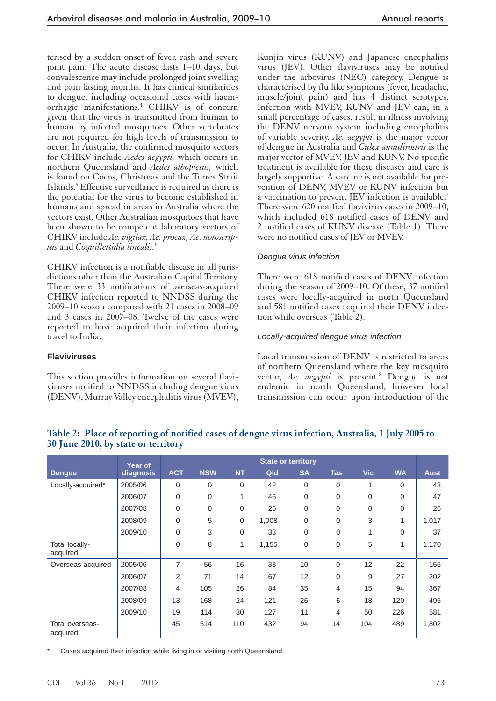terised by a sudden onset of fever, rash and severe joint pain. The acute disease lasts 1–10 days, but convalescence may include prolonged joint swelling and pain lasting months. It has clinical similarities to dengue, including occasional cases with haemorrhagic manifestations.<sup>4</sup> CHIKV is of concern given that the virus is transmitted from human to human by infected mosquitoes. Other vertebrates are not required for high levels of transmission to occur. In Australia, the confirmed mosquito vectors for CHIKV include *Aedes aegypti,* which occurs in northern Queensland and *Aedes albopictus,* which is found on Cocos, Christmas and the Torres Strait Islands.<sup>5</sup> Effective surveillance is required as there is the potential for the virus to become established in humans and spread in areas in Australia where the vectors exist. Other Australian mosquitoes that have been shown to be competent laboratory vectors of CHIKV include *Ae. vigilax, Ae. procax, Ae. notoscriptus* and *Coquillettidia linealis.* <sup>6</sup>

 CHIKV infection is a notifiable disease in all jurisdictions other than the Australian Capital Territory. There were 33 notifications of overseas-acquired CHIKV infection reported to NNDSS during the 2009–10 season compared with 21 cases in 2008–09 and 3 cases in 2007–08. Twelve of the cases were reported to have acquired their infection during travel to India.

 This section provides information on several flaviviruses notified to NNDSS including dengue virus (DENV), Murray Valley encephalitis virus (MVEV),

Kunjin virus (KUNV) and Japanese encephalitis virus (JEV). Other flaviviruses may be notified under the arbovirus (NEC) category. Dengue is characterised by flu like symptoms (fever, headache, muscle/joint pain) and has 4 distinct serotypes. Infection with MVEV, KUNV and JEV can, in a small percentage of cases, result in illness involving the DENV nervous system including encephalitis of variable severity. *Ae. aegypti* is the major vector of dengue in Australia and *Culex annulirostris* is the major vector of MVEV, JEV and KUNV. No specific treatment is available for these diseases and care is largely supportive. A vaccine is not available for prevention of DENV, MVEV or KUNV infection but a vaccination to prevent JEV infection is available.<sup>7</sup> There were 620 notified flavivirus cases in 2009–10, which included 618 notified cases of DENV and 2 notified cases of KUNV disease (Table 1). There were no notified cases of JEV or MVEV.

# *Dengue virus infection*

There were 618 notified cases of DENV infection during the season of 2009–10. Of these, 37 notified cases were locally-acquired in north Queensland and 581 notified cases acquired their DENV infection while overseas (Table 2).

#### *Locally-acquired dengue virus infection*

 Local transmission of DENV is restricted to areas of northern Queensland where the key mosquito vector, Ae. aegypti is present.<sup>8</sup> Dengue is not endemic in north Queensland, however local transmission can occur upon introduction of the

# CDI Vol 36 No 1 2012 73

# **Table 2: Place of reporting of notified cases of dengue virus infection, Australia, 1 July 2005 to 30 June 2010, by state or territory**

|                             | Year of   | <b>State or territory</b> |             |              |       |           |             |              |           |             |
|-----------------------------|-----------|---------------------------|-------------|--------------|-------|-----------|-------------|--------------|-----------|-------------|
| <b>Dengue</b>               | diagnosis | <b>ACT</b>                | <b>NSW</b>  | <b>NT</b>    | Qld   | <b>SA</b> | <b>Tas</b>  | <b>Vic</b>   | <b>WA</b> | <b>Aust</b> |
| Locally-acquired*           | 2005/06   | $\mathbf 0$               | 0           | $\mathbf 0$  | 42    | 0         | 0           | $\mathbf{1}$ | 0         | 43          |
|                             | 2006/07   | $\mathbf 0$               | $\mathbf 0$ | 1            | 46    | 0         | 0           | 0            | 0         | 47          |
|                             | 2007/08   | $\mathbf 0$               | $\mathbf 0$ | $\mathbf 0$  | 26    | 0         | 0           | 0            | 0         | 26          |
|                             | 2008/09   | 0                         | 5           | $\mathbf 0$  | 1,008 | 0         | 0           | 3            | 1         | 1,017       |
|                             | 2009/10   | $\mathbf 0$               | 3           | $\mathbf 0$  | 33    | 0         | 0           | 1            | 0         | 37          |
| Total locally-<br>acquired  |           | $\mathbf 0$               | 8           | $\mathbf{1}$ | 1,155 | 0         | 0           | 5            | 1         | 1,170       |
| Overseas-acquired           | 2005/06   | 7                         | 56          | 16           | 33    | 10        | $\mathbf 0$ | 12           | 22        | 156         |
|                             | 2006/07   | 2                         | 71          | 14           | 67    | 12        | 0           | 9            | 27        | 202         |
|                             | 2007/08   | 4                         | 105         | 26           | 84    | 35        | 4           | 15           | 94        | 367         |
|                             | 2008/09   | 13                        | 168         | 24           | 121   | 26        | 6           | 18           | 120       | 496         |
|                             | 2009/10   | 19                        | 114         | 30           | 127   | 11        | 4           | 50           | 226       | 581         |
| Total overseas-<br>acquired |           | 45                        | 514         | 110          | 432   | 94        | 14          | 104          | 489       | 1,802       |

**Flaviviruses**

Cases acquired their infection while living in or visiting north Queensland.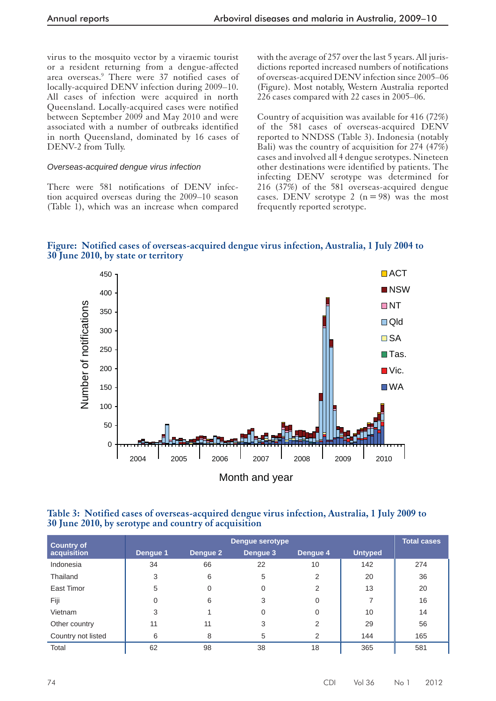virus to the mosquito vector by a viraemic tourist or a resident returning from a dengue-affected area overseas.<sup>9</sup> There were 37 notified cases of locally-acquired DENV infection during 2009–10. All cases of infection were acquired in north Queensland. Locally-acquired cases were notified between September 2009 and May 2010 and were associated with a number of outbreaks identified in north Queensland, dominated by 16 cases of DENV-2 from Tully.

#### *Overseas- acquired dengue virus infection*

 There were 581 notifications of DENV infection acquired overseas during the 2009–10 season (Table 1), which was an increase when compared with the average of 257 over the last 5 years. All jurisdictions reported increased numbers of notifications of overseas-acquired DENV infection since 2005–06 (Figure). Most notably, Western Australia reported 226 cases compared with 22 cases in 2005–06.

Country of acquisition was available for 416 (72%) of the 581 cases of overseas-acquired DENV reported to NNDSS (Table 3). Indonesia (notably Bali) was the country of acquisition for 274 (47%) cases and involved all 4 dengue serotypes. Nineteen other destinations were identified by patients. The infecting DENV serotype was determined for 216 (37%) of the 581 overseas-acquired dengue cases. DENV serotype 2 ( $n = 98$ ) was the most frequently reported serotype.





 **Table 3: Notified cases of overseas-acquired dengue virus infection, Australia, 1 July 2009 to 30 June 2010, by serotype and country of acquisition** 

| <b>Country of</b>  |          |          | <b>Dengue serotype</b> | Total cases |                |     |
|--------------------|----------|----------|------------------------|-------------|----------------|-----|
| acquisition        | Dengue 1 | Dengue 2 | Dengue 3               | Dengue 4    | <b>Untyped</b> |     |
| Indonesia          | 34       | 66       | 22                     | 10          | 142            | 274 |
| Thailand           | 3        | 6        | 5                      | 2           | 20             | 36  |
| East Timor         | 5        | 0        | 0                      | 2           | 13             | 20  |
| Fiji               |          | 6        | 3                      | 0           |                | 16  |
| Vietnam            | 3        |          | 0                      | 0           | 10             | 14  |
| Other country      | 11       | 11       | 3                      | 2           | 29             | 56  |
| Country not listed | 6        | 8        | 5                      | 2           | 144            | 165 |
| Total              | 62       | 98       | 38                     | 18          | 365            | 581 |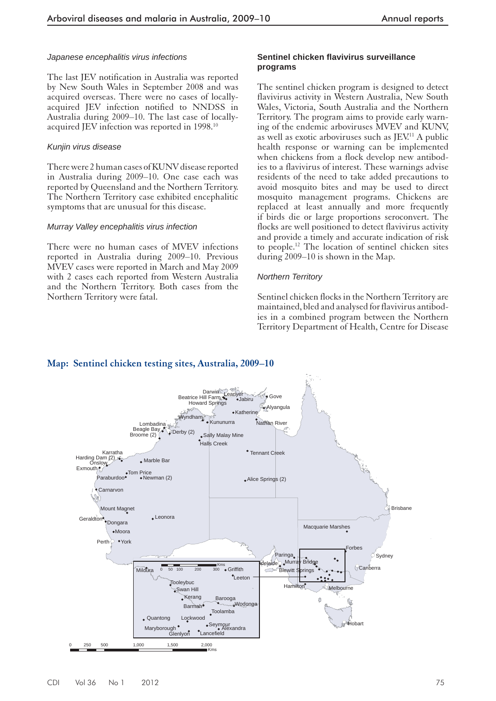#### *Japanese encephalitis virus infections*

 The last JEV notification in Australia was reported by New South Wales in September 2008 and was acquired overseas. There were no cases of locallyacquired JEV infection notified to NNDSS in Australia during 2009–10. The last case of locallyacquired JEV infection was reported in 1998.<sup>10</sup>

#### *Kunjin virus disease*

 There were 2 human cases of KUNV disease reported in Australia during 2009–10. One case each was reported by Queensland and the Northern Territory. The Northern Territory case exhibited encephalitic symptoms that are unusual for this disease.

#### *Murray Valley encephalitis virus infection*

 There were no human cases of MVEV infections reported in Australia during 2009–10. Previous MVEV cases were reported in March and May 2009 with 2 cases each reported from Western Australia and the Northern Territory. Both cases from the Northern Territory were fatal.

#### **Sentinel chicken fl avivirus surveillance programs**

 The sentinel chicken program is designed to detect flavivirus activity in Western Australia, New South Wales, Victoria, South Australia and the Northern Territory. The program aims to provide early warning of the endemic arboviruses MVEV and KUNV, as well as exotic arboviruses such as  $JEV<sup>11</sup>$  A public health response or warning can be implemented when chickens from a flock develop new antibodies to a flavivirus of interest. These warnings advise residents of the need to take added precautions to avoid mosquito bites and may be used to direct mosquito management programs. Chickens are replaced at least annually and more frequently if birds die or large proportions seroconvert. The flocks are well positioned to detect flavivirus activity and provide a timely and accurate indication of risk to people.<sup>12</sup> The location of sentinel chicken sites during 2009–10 is shown in the Map.

#### *Northern Territory*

 Sentinel chicken flocks in the Northern Territory are maintained, bled and analysed for flavivirus antibodies in a combined program between the Northern Territory Department of Health, Centre for Disease



#### **Map: Sentinel chicken testing sites, Australia, 2009–10**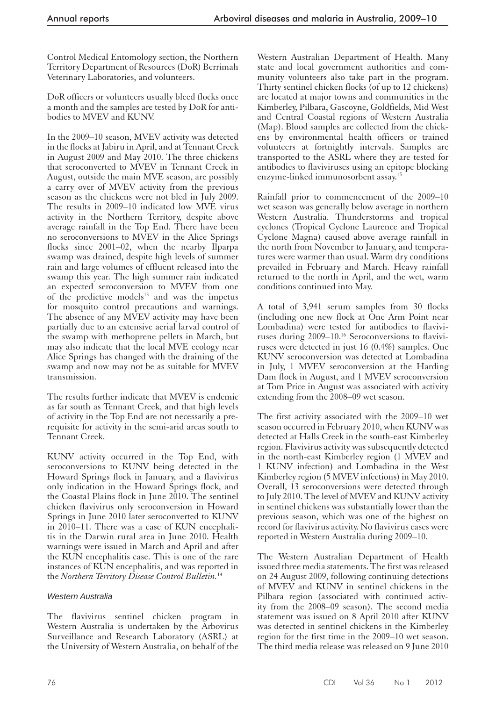Control Medical Entomology section, the Northern Territory Department of Resources (DoR) Berrimah Veterinary Laboratories, and volunteers.

 DoR officers or volunteers usually bleed flocks once a month and the samples are tested by DoR for antibodies to MVEV and KUNV.

 In the 2009–10 season, MVEV activity was detected in the flocks at Jabiru in April, and at Tennant Creek in August 2009 and May 2010. The three chickens that seroconverted to MVEV in Tennant Creek in August, outside the main MVE season, are possibly a carry over of MVEV activity from the previous season as the chickens were not bled in July 2009. The results in 2009–10 indicated low MVE virus activity in the Northern Territory, despite above average rainfall in the Top End. There have been no seroconversions to MVEV in the Alice Springs flocks since 2001–02, when the nearby Ilparpa swamp was drained, despite high levels of summer rain and large volumes of effluent released into the swamp this year. The high summer rain indicated an expected seroconversion to MVEV from one of the predictive models<sup>13</sup> and was the impetus for mosquito control precautions and warnings. The absence of any MVEV activity may have been partially due to an extensive aerial larval control of the swamp with methoprene pellets in March, but may also indicate that the local MVE ecology near Alice Springs has changed with the draining of the swamp and now may not be as suitable for MVEV transmission.

 The results further indicate that MVEV is endemic as far south as Tennant Creek, and that high levels of activity in the Top End are not necessarily a prerequisite for activity in the semi-arid areas south to Tennant Creek.

 KUNV activity occurred in the Top End, with seroconversions to KUNV being detected in the Howard Springs flock in January, and a flavivirus only indication in the Howard Springs flock, and the Coastal Plains flock in June 2010. The sentinel chicken flavivirus only seroconversion in Howard Springs in June 2010 later seroconverted to KUNV in 2010–11. There was a case of KUN encephalitis in the Darwin rural area in June 2010. Health warnings were issued in March and April and after the KUN encephalitis case. This is one of the rare instances of KUN encephalitis, and was reported in the *Northern Territory Disease Control Bulletin.* <sup>14</sup>

# *Western Australia*

 The flavivirus sentinel chicken program in Western Australia is undertaken by the Arbovirus Surveillance and Research Laboratory (ASRL) at the University of Western Australia, on behalf of the

Western Australian Department of Health. Many state and local government authorities and community volunteers also take part in the program. Thirty sentinel chicken flocks (of up to 12 chickens) are located at major towns and communities in the Kimberley, Pilbara, Gascoyne, Goldfields, Mid West and Central Coastal regions of Western Australia (Map). Blood samples are collected from the chickens by environmental health officers or trained volunteers at fortnightly intervals. Samples are transported to the ASRL where they are tested for antibodies to flaviviruses using an epitope blocking enzyme-linked immunosorbent assay. 15

 Rainfall prior to commencement of the 2009–10 wet season was generally below average in northern Western Australia. Thunderstorms and tropical cyclones (Tropical Cyclone Laurence and Tropical Cyclone Magna) caused above average rainfall in the north from November to January, and temperatures were warmer than usual. Warm dry conditions prevailed in February and March. Heavy rainfall returned to the north in April, and the wet, warm conditions continued into May.

 A total of 3,941 serum samples from 30 flocks (including one new flock at One Arm Point near Lombadina) were tested for antibodies to flaviviruses during 2009–10.<sup>16</sup> Seroconversions to flaviviruses were detected in just 16 (0.4%) samples. One KUNV seroconversion was detected at Lombadina in July, 1 MVEV seroconversion at the Harding Dam flock in August, and 1 MVEV seroconversion at Tom Price in August was associated with activity extending from the 2008–09 wet season.

 The first activity associated with the 2009–10 wet season occurred in February 2010, when KUNV was detected at Halls Creek in the south-east Kimberley region. Flavivirus activity was subsequently detected in the north-east Kimberley region (1 MVEV and 1 KUNV infection) and Lombadina in the West Kimberley region (5 MVEV infections) in May 2010. Overall, 13 seroconversions were detected through to July 2010. The level of MVEV and KUNV activity in sentinel chickens was substantially lower than the previous season, which was one of the highest on record for flavivirus activity. No flavivirus cases were reported in Western Australia during 2009–10.

 The Western Australian Department of Health issued three media statements. The first was released on 24 August 2009, following continuing detections of MVEV and KUNV in sentinel chickens in the Pilbara region (associated with continued activity from the 2008–09 season). The second media statement was issued on 8 April 2010 after KUNV was detected in sentinel chickens in the Kimberley region for the first time in the 2009–10 wet season. The third media release was released on 9 June 2010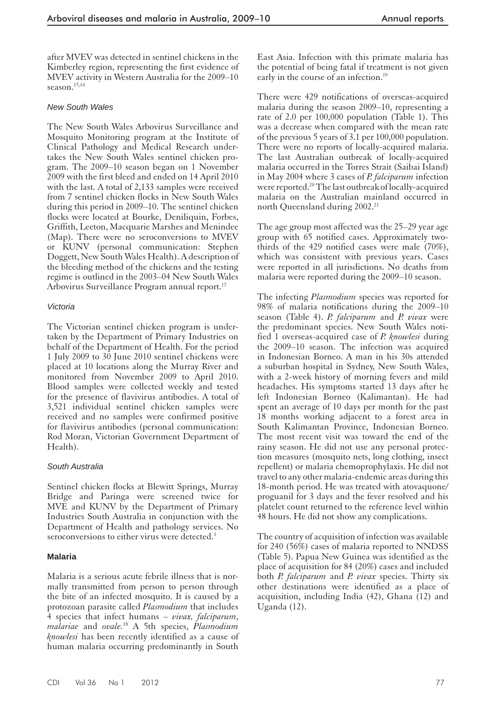after MVEV was detected in sentinel chickens in the Kimberley region, representing the first evidence of MVEV activity in Western Australia for the 2009–10 season. $15,16$ 

#### *New South Wales*

 The New South Wales Arbovirus Surveillance and Mosquito Monitoring program at the Institute of Clinical Pathology and Medical Research undertakes the New South Wales sentinel chicken program. The 2009–10 season began on 1 November 2009 with the first bleed and ended on 14 April 2010 with the last. A total of 2,133 samples were received from 7 sentinel chicken flocks in New South Wales during this period in 2009–10. The sentinel chicken flocks were located at Bourke, Deniliquin, Forbes, Griffith, Leeton, Macquarie Marshes and Menindee (Map). There were no seroconversions to MVEV or KUNV (personal communication: Stephen Doggett, New South Wales Health). A description of the bleeding method of the chickens and the testing regime is outlined in the 2003–04 New South Wales Arbovirus Surveillance Program annual report. 17

#### *Victoria*

 The Victorian sentinel chicken program is undertaken by the Department of Primary Industries on behalf of the Department of Health. For the period 1 July 2009 to 30 June 2010 sentinel chickens were placed at 10 locations along the Murray River and monitored from November 2009 to April 2010. Blood samples were collected weekly and tested for the presence of flavivirus antibodies. A total of 3,521 individual sentinel chicken samples were received and no samples were confirmed positive for flavivirus antibodies (personal communication: Rod Moran, Victorian Government Department of Health).

#### *South Australia*

 Sentinel chicken flocks at Blewitt Springs, Murray Bridge and Paringa were screened twice for MVE and KUNV by the Department of Primary Industries South Australia in conjunction with the Department of Health and pathology services. No seroconversions to either virus were detected.<sup>3</sup>

#### **Malaria**

 Malaria is a serious acute febrile illness that is normally transmitted from person to person through the bite of an infected mosquito. It is caused by a protozoan parasite called *Plasmodium* that includes 4 species that infect humans – *vivax, falciparum*, *malariae* and *ovale.* 18 A 5th species, *Plasmodium knowlesi* has been recently identified as a cause of human malaria occurring predominantly in South

East Asia. Infection with this primate malaria has the potential of being fatal if treatment is not given early in the course of an infection.<sup>19</sup>

 There were 429 notifications of overseas-acquired malaria during the season 2009–10, representing a rate of 2.0 per 100,000 population (Table 1). This was a decrease when compared with the mean rate of the previous 5 years of 3.1 per 100,000 population. There were no reports of locally-acquired malaria. The last Australian outbreak of locally-acquired malaria occurred in the Torres Strait (Saibai Island) in May 2004 where 3 cases of *P. falciparum* infection were reported.<sup>20</sup> The last outbreak of locally-acquired malaria on the Australian mainland occurred in north Queensland during 2002.<sup>21</sup>

 The age group most affected was the 25–29 year age group with 65 notified cases. Approximately twothirds of the 429 notified cases were male (70%), which was consistent with previous years. Cases were reported in all jurisdictions. No deaths from malaria were reported during the 2009–10 season.

 The infecting *Plasmodium* species was reported for 98% of malaria notifications during the 2009–10 season (Table 4). *P. falciparum* and *P. vivax* were the predominant species. New South Wales notified 1 overseas-acquired case of *P. knowlesi* during the 2009–10 season. The infection was acquired in Indonesian Borneo. A man in his 30s attended a suburban hospital in Sydney, New South Wales, with a 2-week history of morning fevers and mild headaches. His symptoms started 13 days after he left Indonesian Borneo (Kalimantan). He had spent an average of 10 days per month for the past 18 months working adjacent to a forest area in South Kalimantan Province, Indonesian Borneo. The most recent visit was toward the end of the rainy season. He did not use any personal protection measures (mosquito nets, long clothing, insect repellent) or malaria chemoprophylaxis. He did not travel to any other malaria-endemic areas during this 18-month period. He was treated with atovaquone/ proguanil for 3 days and the fever resolved and his platelet count returned to the reference level within 48 hours. He did not show any complications.

The country of acquisition of infection was available for 240 (56%) cases of malaria reported to NNDSS (Table 5). Papua New Guinea was identified as the place of acquisition for 84 (20%) cases and included both *P. falciparum* and *P. vivax* species. Thirty six other destinations were identified as a place of acquisition, including India (42), Ghana (12) and Uganda (12).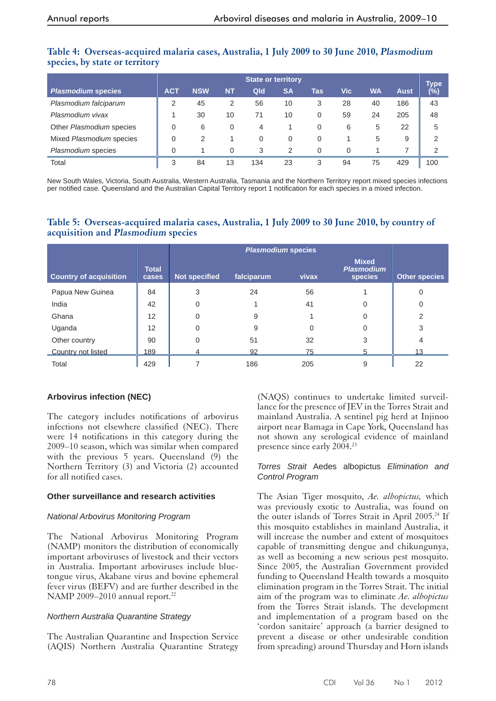# Table 4: Overseas-acquired malaria cases, Australia, 1 July 2009 to 30 June 2010, *Plasmodium* **species, by state or territory**

|                           | <b>State or territory</b> |            |           |     |           |          |     |           | Type        |               |
|---------------------------|---------------------------|------------|-----------|-----|-----------|----------|-----|-----------|-------------|---------------|
| <b>Plasmodium species</b> | <b>ACT</b>                | <b>NSW</b> | <b>NT</b> | Qld | <b>SA</b> | Tas      | Vic | <b>WA</b> | <b>Aust</b> | $(\bar{\%})$  |
| Plasmodium falciparum     | 2                         | 45         | 2         | 56  | 10        | 3        | 28  | 40        | 186         | 43            |
| Plasmodium vivax          |                           | 30         | 10        | 71  | 10        | 0        | 59  | 24        | 205         | 48            |
| Other Plasmodium species  | 0                         | 6          | $\Omega$  | 4   |           | 0        | 6   | 5         | 22          | 5             |
| Mixed Plasmodium species  | 0                         | 2          |           | 0   | $\Omega$  | 0        |     | 5         | 9           | 2             |
| Plasmodium species        | $\Omega$                  |            | 0         | 3   | 2         | $\Omega$ | 0   |           |             | $\mathcal{P}$ |
| Total                     | 3                         | 84         | 13        | 134 | 23        | 3        | 94  | 75        | 429         | 100           |

New South Wales, Victoria, South Australia, Western Australia, Tasmania and the Northern Territory report mixed species infections per notified case. Queensland and the Australian Capital Territory report 1 notification for each species in a mixed infection.

# **Table 5: Overseas-a cquired malaria cases, Australia, 1 July 2009 to 30 June 2010, by country of acquisition and Plasmodiumspecies**

| <b>Country of acquisition</b> | <b>Total</b><br>cases | <b>Not specified</b> | falciparum     | vivax | <b>Mixed</b><br><b>Plasmodium</b><br>species | <b>Other species</b> |
|-------------------------------|-----------------------|----------------------|----------------|-------|----------------------------------------------|----------------------|
| Papua New Guinea              | 84                    | 3                    | 24             | 56    |                                              | 0                    |
| India                         | 42                    |                      |                | 41    | 0                                            | 0                    |
| Ghana                         | 12                    |                      | 9              |       |                                              | 2                    |
| Uganda                        | 12                    |                      | 9              | 0     | 0                                            | 3                    |
| Other country                 | 90                    |                      | 51             | 32    | 3                                            | 4                    |
| Country not listed            | 189                   |                      | Q <sub>2</sub> | 75    |                                              |                      |
| Total                         | 429                   |                      | 186            | 205   | 9                                            | 22                   |

# **Arbovirus infection ( NEC)**

 The category includes notifications of arbovirus infections not elsewhere classified (NEC). There were 14 notifications in this category during the 2009–10 season, which was similar when compared with the previous 5 years. Queensland  $(9)$  the Northern Territory (3) and Victoria (2) accounted for all notified cases.

# **Other surveillance and research activities**

# *National Arbovirus Monitoring Program*

 The National Arbovirus Monitoring Program (NAMP) monitors the distribution of economically important arboviruses of livestock and their vectors in Australia. Important arboviruses include bluetongue virus, Akabane virus and bovine ephemeral fever virus (BEFV) and are further described in the NAMP 2009–2010 annual report.<sup>22</sup>

# *Northern Australia Quarantine Strategy*

 The Australian Quarantine and Inspection Service (AQIS) Northern Australia Quarantine Strategy

(NAQS) continues to undertake limited surveillance for the presence of JEV in the Torres Strait and mainland Australia. A sentinel pig herd at Injinoo airport near Bamaga in Cape York, Queensland has not shown any serological evidence of mainland presence since early 2004.<sup>23</sup>

#### *Torres Strait* Aedes albopictus *Elimination and Control Program*

 The Asian Tiger mosquito, *Ae. albopictus,* which was previously exotic to Australia, was found on the outer islands of Torres Strait in April 2005.<sup>24</sup> If this mosquito establishes in mainland Australia, it will increase the number and extent of mosquitoes capable of transmitting dengue and chikungunya, as well as becoming a new serious pest mosquito. Since 2005, the Australian Government provided funding to Queensland Health towards a mosquito elimination program in the Torres Strait. The initial aim of the program was to eliminate *Ae. albopictus*  from the Torres Strait islands. The development and implementation of a program based on the 'cordon sanitaire' approach (a barrier designed to prevent a disease or other undesirable condition from spreading) around Thursday and Horn islands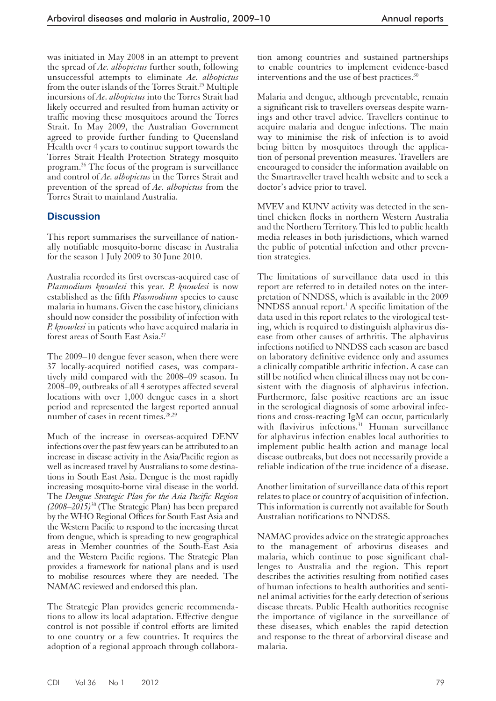was initiated in May 2008 in an attempt to prevent the spread of *Ae. albopictus* further south, following unsuccessful attempts to eliminate *Ae. albopictus*  from the outer islands of the Torres Strait. 25 Multiple incursions of *Ae. albopictus* into the Torres Strait had likely occurred and resulted from human activity or traffic moving these mosquitoes around the Torres Strait. In May 2009, the Australian Government agreed to provide further funding to Queensland Health over 4 years to continue support towards the Torres Strait Health Protection Strategy mosquito program. 26 The focus of the program is surveillance and control of *Ae. albopictus* in the Torres Strait and prevention of the spread of *Ae. albopictus* from the Torres Strait to mainland Australia.

# **Discussion**

 This report summarises the surveillance of nationally notifiable mosquito-borne disease in Australia for the season 1 July 2009 to 30 June 2010.

 Australia recorded its first overseas-acquired case of *Plasmodium knowlesi* this year*. P. knowlesi* is now established as the fifth *Plasmodium* species to cause malaria in humans. Given the case history, clinicians should now consider the possibility of infection with *P. knowlesi* in patients who have acquired malaria in forest areas of South East Asia.<sup>27</sup>

 The 2009–10 dengue fever season, when there were 37 locally-acquired notified cases, was comparatively mild compared with the 2008–09 season. In 2008–09, outbreaks of all 4 serotypes affected several locations with over 1,000 dengue cases in a short period and represented the largest reported annual number of cases in recent times.<sup>28,29</sup>

 Much of the increase in overseas-acquired DENV infections over the past few years can be attributed to an increase in disease activity in the Asia/Pacific region as well as increased travel by Australians to some destinations in South East Asia. Dengue is the most rapidly increasing mosquito-borne viral disease in the world. The *Dengue Strategic Plan for the Asia Pacific Region (2008–2015)* 30 (The Strategic Plan) has been prepared by the WHO Regional Offices for South East Asia and the Western Pacific to respond to the increasing threat from dengue, which is spreading to new geographical areas in Member countries of the South-East Asia and the Western Pacific regions. The Strategic Plan provides a framework for national plans and is used to mobilise resources where they are needed. The NAMAC reviewed and endorsed this plan.

 The Strategic Plan provides generic recommendations to allow its local adaptation. Effective dengue control is not possible if control efforts are limited to one country or a few countries. It requires the adoption of a regional approach through collaboration among countries and sustained partnerships to enable countries to implement evidence-based interventions and the use of best practices. 30

 Malaria and dengue, although preventable, remain a significant risk to travellers overseas despite warnings and other travel advice. Travellers continue to acquire malaria and dengue infections. The main way to minimise the risk of infection is to avoid being bitten by mosquitoes through the application of personal prevention measures. Travellers are encouraged to consider the information available on the Smartraveller travel health website and to seek a doctor's advice prior to travel.

 MVEV and KUNV activity was detected in the sentinel chicken flocks in northern Western Australia and the Northern Territory. This led to public health media releases in both jurisdictions, which warned the public of potential infection and other prevention strategies.

 The limitations of surveillance data used in this report are referred to in detailed notes on the interpretation of NNDSS, which is available in the 2009  $NNDSS$  annual report.<sup>1</sup> A specific limitation of the data used in this report relates to the virological testing, which is required to distinguish alphavirus disease from other causes of arthritis. The alphavirus infections notified to NNDSS each season are based on laboratory definitive evidence only and assumes a clinically compatible arthritic infection. A case can still be notified when clinical illness may not be consistent with the diagnosis of alphavirus infection. Furthermore, false positive reactions are an issue in the serological diagnosis of some arboviral infections and cross-reacting IgM can occur, particularly with flavivirus infections.<sup>31</sup> Human surveillance for alphavirus infection enables local authorities to implement public health action and manage local disease outbreaks, but does not necessarily provide a reliable indication of the true incidence of a disease.

 Another limitation of surveillance data of this report relates to place or country of acquisition of infection. This information is currently not available for South Australian notifications to NNDSS.

 NAMAC provides advice on the strategic approaches to the management of arbovirus diseases and malaria, which continue to pose significant challenges to Australia and the region. This report describes the activities resulting from notified cases of human infections to health authorities and sentinel animal activities for the early detection of serious disease threats. Public Health authorities recognise the importance of vigilance in the surveillance of these diseases, which enables the rapid detection and response to the threat of arborviral disease and malaria.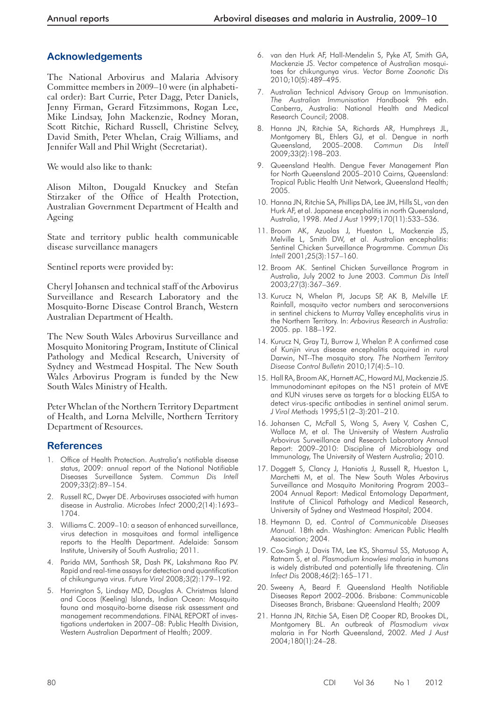# **Acknowledgements**

 The National Arbovirus and Malaria Advisory Committee members in 2009–10 were (in alphabetical order): Bart Currie, Peter Dagg, Peter Daniels, Jenny Firman, Gerard Fitzsimmons, Rogan Lee, Mike Lindsay, John Mackenzie, Rodney Moran, Scott Ritchie, Richard Russell, Christine Selvey, David Smith, Peter Whelan, Craig Williams, and Jennifer Wall and Phil Wright (Secretariat).

We would also like to thank:

 Alison Milton, Dougald Knuckey and Stefan Stirzaker of the Office of Health Protection, Australian Government Department of Health and Ageing

 State and territory public health communicable disease surveillance managers

Sentinel reports were provided by:

 Cheryl Johansen and technical staff of the Arbovirus Surveillance and Research Laboratory and the Mosquito-Borne Disease Control Branch, Western Australian Department of Health.

 The New South Wales Arbovirus Surveillance and Mosquito Monitoring Program, Institute of Clinical Pathology and Medical Research, University of Sydney and Westmead Hospital. The New South Wales Arbovirus Program is funded by the New South Wales Ministry of Health.

 Peter Whelan of the Northern Territory Department of Health, and Lorna Melville, Northern Territory Department of Resources.

# **References**

- 1. Office of Health Protection. Australia's notifiable disease status, 2009: annual report of the National Notifiable Diseases Surveillance System. *Commun Dis Intell*  2009;33(2):89–154.
- 2. Russell RC, Dwyer DE. Arboviruses associated with human disease in Australia. *Microbes Infect* 2000;2(14):1693– 1704.
- 3. Williams C. 2009–10: a season of enhanced surveillance, virus detection in mosquitoes and formal intelligence reports to the Health Department. Adelaide: Sansom Institute, University of South Australia; 2011.
- 4. Parida MM, Santhosh SR, Dash PK, Lakshmana Rao PV. Rapid and real-time assays for detection and quantification of chikungunya virus. *Future Virol* 2008;3(2):179–192.
- 5. Harrington S, Lindsay MD, Douglas A. Christmas Island and Cocos (Keeling) Islands, Indian Ocean: Mosquito fauna and mosquito-borne disease risk assessment and management recommendations. FINAL REPORT of investigations undertaken in 2007–08: Public Health Division, Western Australian Department of Health; 2009.
- 6. van den Hurk AF, Hall-Mendelin S, Pyke AT, Smith GA, Mackenzie JS. Vector competence of Australian mosquitoes for chikungunya virus. *Vector Borne Zoonotic Dis*  2010;10(5):489–495.
- 7. Australian Technical Advisory Group on Immunisation. *The Australian Immunisation Handbook* 9th edn. Canberra, Australia: National Health and Medical Research Council; 2008.
- 8. Hanna JN, Ritchie SA, Richards AR, Humphreys JL, Montgomery BL, Ehlers GJ, et al. Dengue in north Queensland, 2005–2008. *Commun Dis Intell*  2009;33(2):198–203.
- 9. Queensland Health. Dengue Fever Management Plan for North Queensland 2005–2010 Cairns, Queensland: Tropical Public Health Unit Network, Queensland Health; 2005.
- 10. Hanna JN, Ritchie SA, Phillips DA, Lee JM, Hills SL, van den Hurk AF, et al. Japanese encephalitis in north Queensland, Australia, 1998. *Med J Aust* 1999;170(11):533–536.
- 11. Broom AK, Azuolas J, Hueston L, Mackenzie JS, Melville L, Smith DW, et al. Australian encephalitis: Sentinel Chicken Surveillance Programme. *Commun Dis Intell* 2001;25(3):157–160.
- 12. Broom AK. Sentinel Chicken Surveillance Program in Australia, July 2002 to June 2003. *Commun Dis Intell*  2003;27(3):367–369.
- 13. Kurucz N, Whelan PI, Jacups SP, AK B, Melville LF. Rainfall, mosquito vector numbers and seroconversions in sentinel chickens to Murray Valley encephalitis virus in the Northern Territory. In: *Arbovirus Research in Australia:*  2005. pp. 188–192.
- 14. Kurucz N, Gray TJ, Burrow J, Whelan P. A confirmed case of Kunjin virus disease encephalitis acquired in rural Darwin, NT--The mosquito story. *The Northern Territory Disease Control Bulletin* 2010;17(4):5–10.
- 15. Hall RA, Broom AK, Harnett AC, Howard MJ, Mackenzie JS. Immunodominant epitopes on the NS1 protein of MVE and KUN viruses serve as targets for a blocking ELISA to detect virus-specific antibodies in sentinel animal serum. *J Virol Methods* 1995;51(2–3):201–210.
- 16. Johansen C, McFall S, Wong S, Avery V, Cashen C, Wallace M, et al. The University of Western Australia Arbovirus Surveillance and Research Laboratory Annual Report: 2009–2010: Discipline of Microbiology and Immunology, The University of Western Australia; 2010.
- 17. Doggett S, Clancy J, Haniotis J, Russell R, Hueston L, Marchetti M, et al. The New South Wales Arbovirus Surveillance and Mosquito Monitoring Program 2003– 2004 Annual Report: Medical Entomology Department, Institute of Clinical Pathology and Medical Research, University of Sydney and Westmead Hospital; 2004.
- 18. Heymann D, ed. *Control of Communicable Diseases Manual.* 18th edn. Washington: American Public Health Association; 2004.
- 19. Cox-Singh J, Davis TM, Lee KS, Shamsul SS, Matusop A, Ratnam S, et al. *Plasmodium knowlesi* malaria in humans is widely distributed and potentially life threatening. *Clin Infect Dis* 2008;46(2):165–171.
- 20. Sweeny A, Beard F. Queensland Health Notifiable Diseases Report 2002–2006. Brisbane: Communicable Diseases Branch, Brisbane: Queensland Health; 2009
- 21. Hanna JN, Ritchie SA, Eisen DP, Cooper RD, Brookes DL, Montgomery BL. An outbreak of *Plasmodium vivax*  malaria in Far North Queensland, 2002. *Med J Aust*  2004;180(1):24–28.